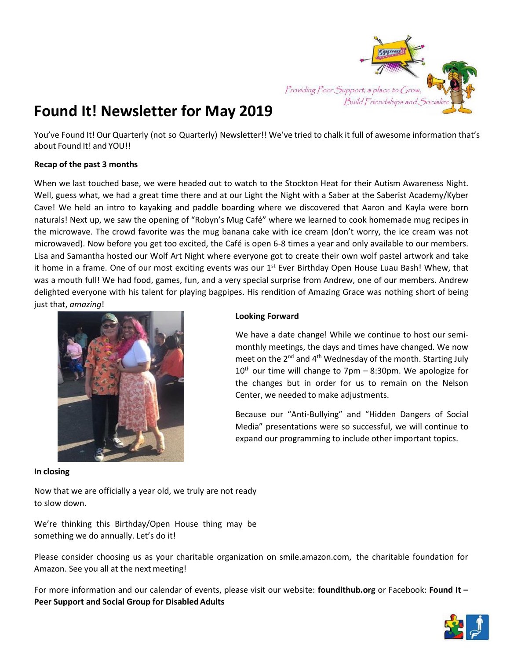

## **Found It! Newsletter for May 2019**

You've Found It! Our Quarterly (not so Quarterly) Newsletter!! We've tried to chalk it full of awesome information that's about Found It! and YOU!!

## **Recap of the past 3 months**

When we last touched base, we were headed out to watch to the Stockton Heat for their Autism Awareness Night. Well, guess what, we had a great time there and at our Light the Night with a Saber at the Saberist Academy/Kyber Cave! We held an intro to kayaking and paddle boarding where we discovered that Aaron and Kayla were born naturals! Next up, we saw the opening of "Robyn's Mug Café" where we learned to cook homemade mug recipes in the microwave. The crowd favorite was the mug banana cake with ice cream (don't worry, the ice cream was not microwaved). Now before you get too excited, the Café is open 6-8 times a year and only available to our members. Lisa and Samantha hosted our Wolf Art Night where everyone got to create their own wolf pastel artwork and take it home in a frame. One of our most exciting events was our 1<sup>st</sup> Ever Birthday Open House Luau Bash! Whew, that was a mouth full! We had food, games, fun, and a very special surprise from Andrew, one of our members. Andrew delighted everyone with his talent for playing bagpipes. His rendition of Amazing Grace was nothing short of being just that, *amazing*!



## **Looking Forward**

We have a date change! While we continue to host our semimonthly meetings, the days and times have changed. We now meet on the  $2^{nd}$  and  $4^{th}$  Wednesday of the month. Starting July  $10<sup>th</sup>$  our time will change to 7pm – 8:30pm. We apologize for the changes but in order for us to remain on the Nelson Center, we needed to make adjustments.

Because our "Anti-Bullying" and "Hidden Dangers of Social Media" presentations were so successful, we will continue to expand our programming to include other important topics.

## **In closing**

Now that we are officially a year old, we truly are not ready to slow down.

We're thinking this Birthday/Open House thing may be something we do annually. Let's do it!

Please consider choosing us as your charitable organization on smile.amazon.com, the charitable foundation for Amazon. See you all at the next meeting!

For more information and our calendar of events, please visit our website: **foundithub.org** or Facebook: **Found It –** Peer Support and Social Group for Disabled Adults

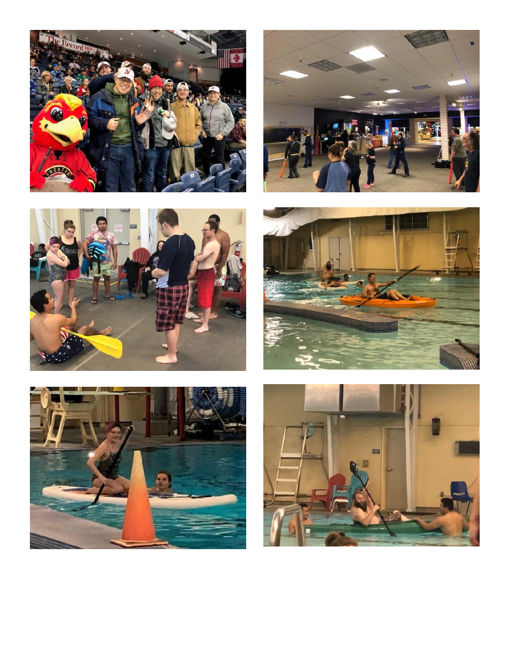